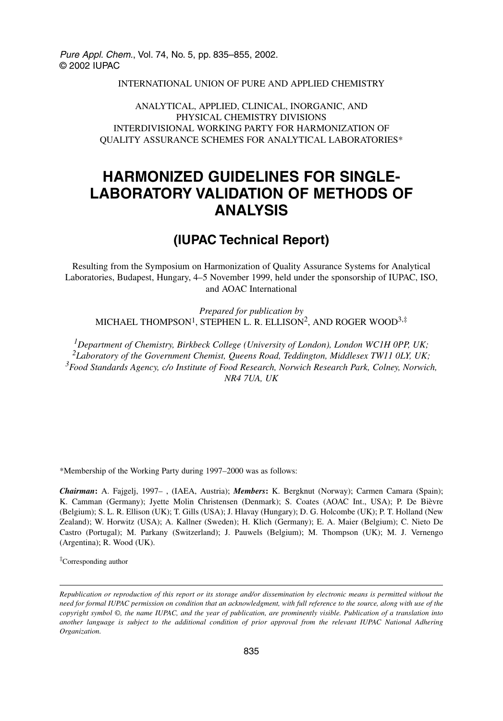Pure Appl. Chem., Vol. 74, No. 5, pp. 835–855, 2002. © 2002 IUPAC

INTERNATIONAL UNION OF PURE AND APPLIED CHEMISTRY

ANALYTICAL, APPLIED, CLINICAL, INORGANIC, AND PHYSICAL CHEMISTRY DIVISIONS INTERDIVISIONAL WORKING PARTY FOR HARMONIZATION OF QUALITY ASSURANCE SCHEMES FOR ANALYTICAL LABORATORIES\*

# **HARMONIZED GUIDELINES FOR SINGLE-LABORATORY VALIDATION OF METHODS OF ANALYSIS**

# **(IUPAC Technical Report)**

Resulting from the Symposium on Harmonization of Quality Assurance Systems for Analytical Laboratories, Budapest, Hungary, 4–5 November 1999, held under the sponsorship of IUPAC, ISO, and AOAC International

*Prepared for publication by* MICHAEL THOMPSON<sup>1</sup>, STEPHEN L. R. ELLISON<sup>2</sup>, AND ROGER WOOD<sup>3, $\ddagger$ </sup>

*1Department of Chemistry, Birkbeck College (University of London), London WC1H 0PP, UK; 2Laboratory of the Government Chemist, Queens Road, Teddington, Middlesex TW11 0LY, UK; 3Food Standards Agency, c/o Institute of Food Research, Norwich Research Park, Colney, Norwich, NR4 7UA, UK*

\*Membership of the Working Party during 1997–2000 was as follows:

*Chairman***:** A. Fajgelj, 1997– , (IAEA, Austria); *Members***:** K. Bergknut (Norway); Carmen Camara (Spain); K. Camman (Germany); Jyette Molin Christensen (Denmark); S. Coates (AOAC Int., USA); P. De Bièvre (Belgium); S. L. R. Ellison (UK); T. Gills (USA); J. Hlavay (Hungary); D. G. Holcombe (UK); P. T. Holland (New Zealand); W. Horwitz (USA); A. Kallner (Sweden); H. Klich (Germany); E. A. Maier (Belgium); C. Nieto De Castro (Portugal); M. Parkany (Switzerland); J. Pauwels (Belgium); M. Thompson (UK); M. J. Vernengo (Argentina); R. Wood (UK).

‡Corresponding author

*Republication or reproduction of this report or its storage and/or dissemination by electronic means is permitted without the need for formal IUPAC permission on condition that an acknowledgment, with full reference to the source, along with use of the copyright symbol ©, the name IUPAC, and the year of publication, are prominently visible. Publication of a translation into another language is subject to the additional condition of prior approval from the relevant IUPAC National Adhering Organization.*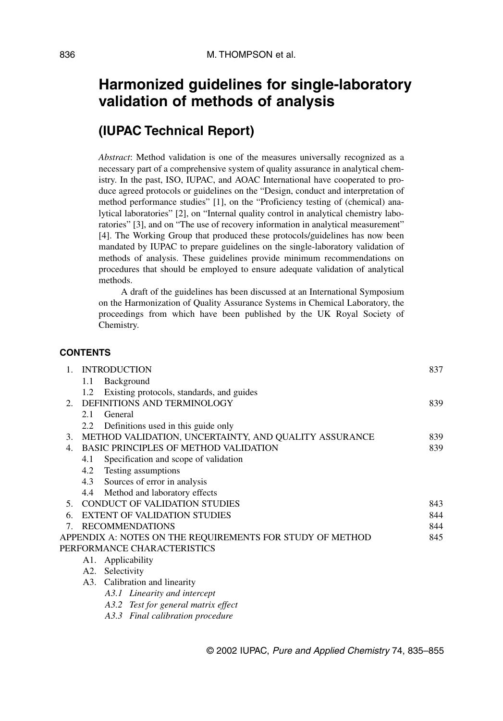# **Harmonized guidelines for single-laboratory validation of methods of analysis**

# **(IUPAC Technical Report)**

*Abstract*: Method validation is one of the measures universally recognized as a necessary part of a comprehensive system of quality assurance in analytical chemistry. In the past, ISO, IUPAC, and AOAC International have cooperated to produce agreed protocols or guidelines on the "Design, conduct and interpretation of method performance studies" [1], on the "Proficiency testing of (chemical) analytical laboratories" [2], on "Internal quality control in analytical chemistry laboratories" [3], and on "The use of recovery information in analytical measurement" [4]. The Working Group that produced these protocols/guidelines has now been mandated by IUPAC to prepare guidelines on the single-laboratory validation of methods of analysis. These guidelines provide minimum recommendations on procedures that should be employed to ensure adequate validation of analytical methods.

A draft of the guidelines has been discussed at an International Symposium on the Harmonization of Quality Assurance Systems in Chemical Laboratory, the proceedings from which have been published by the UK Royal Society of Chemistry.

# **CONTENTS**

|                                                           | <b>INTRODUCTION</b>                   |                                                          | 837 |
|-----------------------------------------------------------|---------------------------------------|----------------------------------------------------------|-----|
|                                                           | 1.1                                   | Background                                               |     |
|                                                           | 1.2                                   | Existing protocols, standards, and guides                |     |
| $2_{-}$                                                   | DEFINITIONS AND TERMINOLOGY           |                                                          | 839 |
|                                                           | 2.1                                   | General                                                  |     |
|                                                           | 2.2                                   | Definitions used in this guide only                      |     |
|                                                           |                                       | 3. METHOD VALIDATION, UNCERTAINTY, AND QUALITY ASSURANCE | 839 |
| $4_{\cdot}$                                               | BASIC PRINCIPLES OF METHOD VALIDATION |                                                          | 839 |
|                                                           | 4.1                                   | Specification and scope of validation                    |     |
|                                                           | 4.2                                   | Testing assumptions                                      |     |
|                                                           |                                       | 4.3 Sources of error in analysis                         |     |
|                                                           |                                       | 4.4 Method and laboratory effects                        |     |
|                                                           | 5. CONDUCT OF VALIDATION STUDIES      |                                                          |     |
| 6.                                                        | <b>EXTENT OF VALIDATION STUDIES</b>   |                                                          |     |
| $7_{\scriptscriptstyle{\ddots}}$                          |                                       | <b>RECOMMENDATIONS</b>                                   | 844 |
| APPENDIX A: NOTES ON THE REQUIREMENTS FOR STUDY OF METHOD |                                       |                                                          | 845 |
|                                                           |                                       | PERFORMANCE CHARACTERISTICS                              |     |
|                                                           |                                       | A1. Applicability                                        |     |
|                                                           |                                       | A2. Selectivity                                          |     |
|                                                           |                                       | A3. Calibration and linearity                            |     |
|                                                           |                                       | A3.1 Linearity and intercept                             |     |
|                                                           |                                       | A3.2 Test for general matrix effect                      |     |

*A3.3 Final calibration procedure*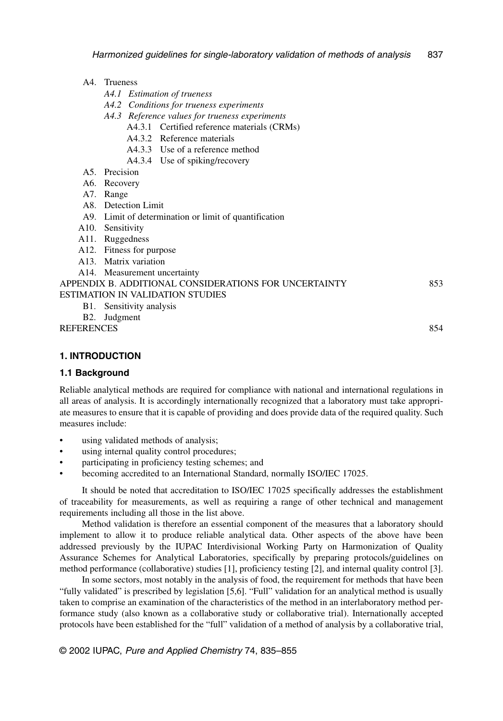- A4. Trueness
	- *A4.1 Estimation of trueness*
	- *A4.2 Conditions for trueness experiments*
	- *A4.3 Reference values for trueness experiments*
		- A4.3.1 Certified reference materials (CRMs)
		- A4.3.2 Reference materials
		- A4.3.3 Use of a reference method
		- A4.3.4 Use of spiking/recovery
- A5. Precision
- A6. Recovery
- A7. Range
- A8. Detection Limit
- A9. Limit of determination or limit of quantification
- A10. Sensitivity
- A11. Ruggedness
- A12. Fitness for purpose
- A13. Matrix variation
- A14. Measurement uncertainty

| APPENDIX B. ADDITIONAL CONSIDERATIONS FOR UNCERTAINTY                                                                                                                                                                                                                                            | 853 |
|--------------------------------------------------------------------------------------------------------------------------------------------------------------------------------------------------------------------------------------------------------------------------------------------------|-----|
| ESTIMATION IN VALIDATION STUDIES                                                                                                                                                                                                                                                                 |     |
| $\mathbf{D}$ and $\mathbf{D}$ and $\mathbf{D}$ and $\mathbf{D}$ and $\mathbf{D}$ and $\mathbf{D}$ and $\mathbf{D}$ and $\mathbf{D}$ and $\mathbf{D}$ and $\mathbf{D}$ and $\mathbf{D}$ and $\mathbf{D}$ and $\mathbf{D}$ and $\mathbf{D}$ and $\mathbf{D}$ and $\mathbf{D}$ and $\mathbf{D}$ and |     |

- B1. Sensitivity analysis
- B2. Judgment

REFERENCES 854

**1. INTRODUCTION** 

## **1.1 Background**

Reliable analytical methods are required for compliance with national and international regulations in all areas of analysis. It is accordingly internationally recognized that a laboratory must take appropriate measures to ensure that it is capable of providing and does provide data of the required quality. Such measures include:

- using validated methods of analysis;
- using internal quality control procedures;
- participating in proficiency testing schemes; and
- becoming accredited to an International Standard, normally ISO/IEC 17025.

It should be noted that accreditation to ISO/IEC 17025 specifically addresses the establishment of traceability for measurements, as well as requiring a range of other technical and management requirements including all those in the list above.

Method validation is therefore an essential component of the measures that a laboratory should implement to allow it to produce reliable analytical data. Other aspects of the above have been addressed previously by the IUPAC Interdivisional Working Party on Harmonization of Quality Assurance Schemes for Analytical Laboratories, specifically by preparing protocols/guidelines on method performance (collaborative) studies [1], proficiency testing [2], and internal quality control [3].

In some sectors, most notably in the analysis of food, the requirement for methods that have been "fully validated" is prescribed by legislation [5,6]. "Full" validation for an analytical method is usually taken to comprise an examination of the characteristics of the method in an interlaboratory method performance study (also known as a collaborative study or collaborative trial). Internationally accepted protocols have been established for the "full" validation of a method of analysis by a collaborative trial,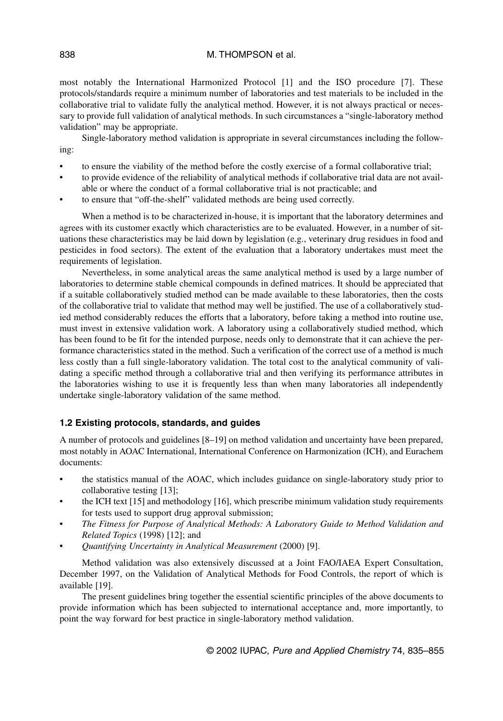## M. THOMPSON et al.

most notably the International Harmonized Protocol [1] and the ISO procedure [7]. These protocols/standards require a minimum number of laboratories and test materials to be included in the collaborative trial to validate fully the analytical method. However, it is not always practical or necessary to provide full validation of analytical methods. In such circumstances a "single-laboratory method validation" may be appropriate.

Single-laboratory method validation is appropriate in several circumstances including the following:

- to ensure the viability of the method before the costly exercise of a formal collaborative trial;
- to provide evidence of the reliability of analytical methods if collaborative trial data are not available or where the conduct of a formal collaborative trial is not practicable; and
- to ensure that "off-the-shelf" validated methods are being used correctly.

When a method is to be characterized in-house, it is important that the laboratory determines and agrees with its customer exactly which characteristics are to be evaluated. However, in a number of situations these characteristics may be laid down by legislation (e.g., veterinary drug residues in food and pesticides in food sectors). The extent of the evaluation that a laboratory undertakes must meet the requirements of legislation.

Nevertheless, in some analytical areas the same analytical method is used by a large number of laboratories to determine stable chemical compounds in defined matrices. It should be appreciated that if a suitable collaboratively studied method can be made available to these laboratories, then the costs of the collaborative trial to validate that method may well be justified. The use of a collaboratively studied method considerably reduces the efforts that a laboratory, before taking a method into routine use, must invest in extensive validation work. A laboratory using a collaboratively studied method, which has been found to be fit for the intended purpose, needs only to demonstrate that it can achieve the performance characteristics stated in the method. Such a verification of the correct use of a method is much less costly than a full single-laboratory validation. The total cost to the analytical community of validating a specific method through a collaborative trial and then verifying its performance attributes in the laboratories wishing to use it is frequently less than when many laboratories all independently undertake single-laboratory validation of the same method.

## **1.2 Existing protocols, standards, and guides**

A number of protocols and guidelines [8–19] on method validation and uncertainty have been prepared, most notably in AOAC International, International Conference on Harmonization (ICH), and Eurachem documents:

- the statistics manual of the AOAC, which includes guidance on single-laboratory study prior to collaborative testing [13];
- the ICH text [15] and methodology [16], which prescribe minimum validation study requirements for tests used to support drug approval submission;
- *The Fitness for Purpose of Analytical Methods: A Laboratory Guide to Method Validation and Related Topics* (1998) [12]; and
- *Quantifying Uncertainty in Analytical Measurement* (2000) [9].

Method validation was also extensively discussed at a Joint FAO/IAEA Expert Consultation, December 1997, on the Validation of Analytical Methods for Food Controls, the report of which is available [19].

The present guidelines bring together the essential scientific principles of the above documents to provide information which has been subjected to international acceptance and, more importantly, to point the way forward for best practice in single-laboratory method validation.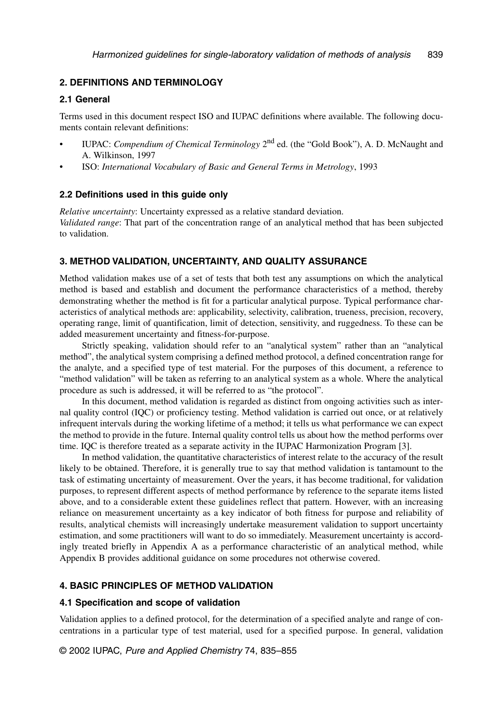# **2. DEFINITIONS AND TERMINOLOGY**

## **2.1 General**

Terms used in this document respect ISO and IUPAC definitions where available. The following documents contain relevant definitions:

- IUPAC: *Compendium of Chemical Terminology* 2nd ed. (the "Gold Book"), A. D. McNaught and A. Wilkinson, 1997
- ISO: *International Vocabulary of Basic and General Terms in Metrology*, 1993

## **2.2 Definitions used in this guide only**

*Relative uncertainty*: Uncertainty expressed as a relative standard deviation. *Validated range*: That part of the concentration range of an analytical method that has been subjected to validation.

## **3. METHOD VALIDATION, UNCERTAINTY, AND QUALITY ASSURANCE**

Method validation makes use of a set of tests that both test any assumptions on which the analytical method is based and establish and document the performance characteristics of a method, thereby demonstrating whether the method is fit for a particular analytical purpose. Typical performance characteristics of analytical methods are: applicability, selectivity, calibration, trueness, precision, recovery, operating range, limit of quantification, limit of detection, sensitivity, and ruggedness. To these can be added measurement uncertainty and fitness-for-purpose.

Strictly speaking, validation should refer to an "analytical system" rather than an "analytical method", the analytical system comprising a defined method protocol, a defined concentration range for the analyte, and a specified type of test material. For the purposes of this document, a reference to "method validation" will be taken as referring to an analytical system as a whole. Where the analytical procedure as such is addressed, it will be referred to as "the protocol".

In this document, method validation is regarded as distinct from ongoing activities such as internal quality control (IQC) or proficiency testing. Method validation is carried out once, or at relatively infrequent intervals during the working lifetime of a method; it tells us what performance we can expect the method to provide in the future. Internal quality control tells us about how the method performs over time. IQC is therefore treated as a separate activity in the IUPAC Harmonization Program [3].

In method validation, the quantitative characteristics of interest relate to the accuracy of the result likely to be obtained. Therefore, it is generally true to say that method validation is tantamount to the task of estimating uncertainty of measurement. Over the years, it has become traditional, for validation purposes, to represent different aspects of method performance by reference to the separate items listed above, and to a considerable extent these guidelines reflect that pattern. However, with an increasing reliance on measurement uncertainty as a key indicator of both fitness for purpose and reliability of results, analytical chemists will increasingly undertake measurement validation to support uncertainty estimation, and some practitioners will want to do so immediately. Measurement uncertainty is accordingly treated briefly in Appendix A as a performance characteristic of an analytical method, while Appendix B provides additional guidance on some procedures not otherwise covered.

# **4. BASIC PRINCIPLES OF METHOD VALIDATION**

#### **4.1 Specification and scope of validation**

Validation applies to a defined protocol, for the determination of a specified analyte and range of concentrations in a particular type of test material, used for a specified purpose. In general, validation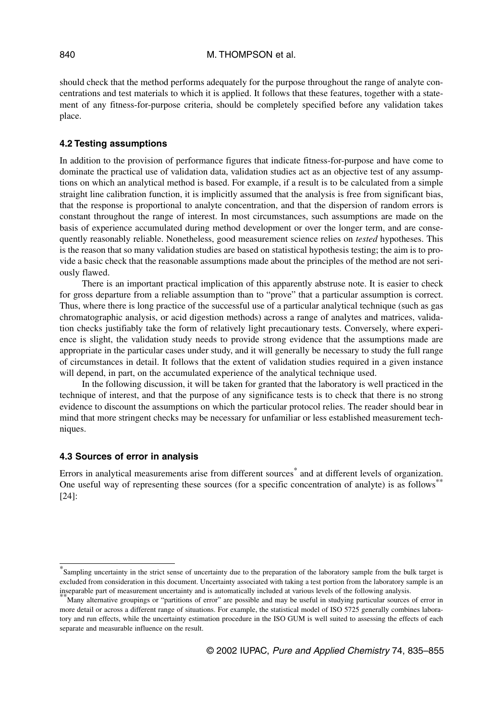should check that the method performs adequately for the purpose throughout the range of analyte concentrations and test materials to which it is applied. It follows that these features, together with a statement of any fitness-for-purpose criteria, should be completely specified before any validation takes place.

#### **4.2 Testing assumptions**

In addition to the provision of performance figures that indicate fitness-for-purpose and have come to dominate the practical use of validation data, validation studies act as an objective test of any assumptions on which an analytical method is based. For example, if a result is to be calculated from a simple straight line calibration function, it is implicitly assumed that the analysis is free from significant bias, that the response is proportional to analyte concentration, and that the dispersion of random errors is constant throughout the range of interest. In most circumstances, such assumptions are made on the basis of experience accumulated during method development or over the longer term, and are consequently reasonably reliable. Nonetheless, good measurement science relies on *tested* hypotheses. This is the reason that so many validation studies are based on statistical hypothesis testing; the aim is to provide a basic check that the reasonable assumptions made about the principles of the method are not seriously flawed.

There is an important practical implication of this apparently abstruse note. It is easier to check for gross departure from a reliable assumption than to "prove" that a particular assumption is correct. Thus, where there is long practice of the successful use of a particular analytical technique (such as gas chromatographic analysis, or acid digestion methods) across a range of analytes and matrices, validation checks justifiably take the form of relatively light precautionary tests. Conversely, where experience is slight, the validation study needs to provide strong evidence that the assumptions made are appropriate in the particular cases under study, and it will generally be necessary to study the full range of circumstances in detail. It follows that the extent of validation studies required in a given instance will depend, in part, on the accumulated experience of the analytical technique used.

In the following discussion, it will be taken for granted that the laboratory is well practiced in the technique of interest, and that the purpose of any significance tests is to check that there is no strong evidence to discount the assumptions on which the particular protocol relies. The reader should bear in mind that more stringent checks may be necessary for unfamiliar or less established measurement techniques.

## **4.3 Sources of error in analysis**

Errors in analytical measurements arise from different sources\* and at different levels of organization. One useful way of representing these sources (for a specific concentration of analyte) is as follows<sup>\*\*</sup> [24]:

Sampling uncertainty in the strict sense of uncertainty due to the preparation of the laboratory sample from the bulk target is excluded from consideration in this document. Uncertainty associated with taking a test portion from the laboratory sample is an inseparable part of measurement uncertainty and is automatically included at various levels of the following analysis.

Many alternative groupings or "partitions of error" are possible and may be useful in studying particular sources of error in more detail or across a different range of situations. For example, the statistical model of ISO 5725 generally combines laboratory and run effects, while the uncertainty estimation procedure in the ISO GUM is well suited to assessing the effects of each separate and measurable influence on the result.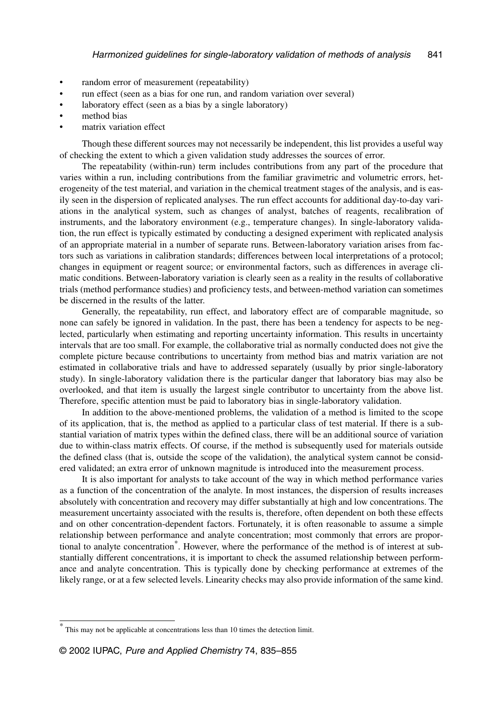- random error of measurement (repeatability)
- run effect (seen as a bias for one run, and random variation over several)
- laboratory effect (seen as a bias by a single laboratory)
- method bias
- matrix variation effect

Though these different sources may not necessarily be independent, this list provides a useful way of checking the extent to which a given validation study addresses the sources of error.

The repeatability (within-run) term includes contributions from any part of the procedure that varies within a run, including contributions from the familiar gravimetric and volumetric errors, heterogeneity of the test material, and variation in the chemical treatment stages of the analysis, and is easily seen in the dispersion of replicated analyses. The run effect accounts for additional day-to-day variations in the analytical system, such as changes of analyst, batches of reagents, recalibration of instruments, and the laboratory environment (e.g., temperature changes). In single-laboratory validation, the run effect is typically estimated by conducting a designed experiment with replicated analysis of an appropriate material in a number of separate runs. Between-laboratory variation arises from factors such as variations in calibration standards; differences between local interpretations of a protocol; changes in equipment or reagent source; or environmental factors, such as differences in average climatic conditions. Between-laboratory variation is clearly seen as a reality in the results of collaborative trials (method performance studies) and proficiency tests, and between-method variation can sometimes be discerned in the results of the latter.

Generally, the repeatability, run effect, and laboratory effect are of comparable magnitude, so none can safely be ignored in validation. In the past, there has been a tendency for aspects to be neglected, particularly when estimating and reporting uncertainty information. This results in uncertainty intervals that are too small. For example, the collaborative trial as normally conducted does not give the complete picture because contributions to uncertainty from method bias and matrix variation are not estimated in collaborative trials and have to addressed separately (usually by prior single-laboratory study). In single-laboratory validation there is the particular danger that laboratory bias may also be overlooked, and that item is usually the largest single contributor to uncertainty from the above list. Therefore, specific attention must be paid to laboratory bias in single-laboratory validation.

In addition to the above-mentioned problems, the validation of a method is limited to the scope of its application, that is, the method as applied to a particular class of test material. If there is a substantial variation of matrix types within the defined class, there will be an additional source of variation due to within-class matrix effects. Of course, if the method is subsequently used for materials outside the defined class (that is, outside the scope of the validation), the analytical system cannot be considered validated; an extra error of unknown magnitude is introduced into the measurement process.

It is also important for analysts to take account of the way in which method performance varies as a function of the concentration of the analyte. In most instances, the dispersion of results increases absolutely with concentration and recovery may differ substantially at high and low concentrations. The measurement uncertainty associated with the results is, therefore, often dependent on both these effects and on other concentration-dependent factors. Fortunately, it is often reasonable to assume a simple relationship between performance and analyte concentration; most commonly that errors are proportional to analyte concentration\*. However, where the performance of the method is of interest at substantially different concentrations, it is important to check the assumed relationship between performance and analyte concentration. This is typically done by checking performance at extremes of the likely range, or at a few selected levels. Linearity checks may also provide information of the same kind.

<sup>\*</sup> This may not be applicable at concentrations less than 10 times the detection limit.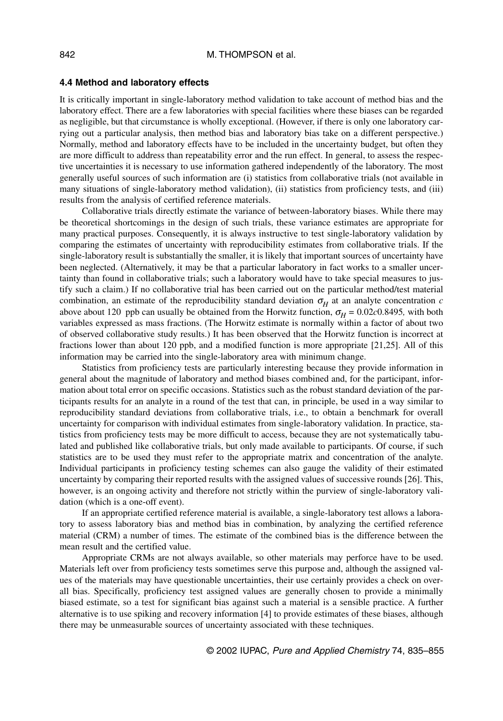#### **4.4 Method and laboratory effects**

It is critically important in single-laboratory method validation to take account of method bias and the laboratory effect. There are a few laboratories with special facilities where these biases can be regarded as negligible, but that circumstance is wholly exceptional. (However, if there is only one laboratory carrying out a particular analysis, then method bias and laboratory bias take on a different perspective.) Normally, method and laboratory effects have to be included in the uncertainty budget, but often they are more difficult to address than repeatability error and the run effect. In general, to assess the respective uncertainties it is necessary to use information gathered independently of the laboratory. The most generally useful sources of such information are (i) statistics from collaborative trials (not available in many situations of single-laboratory method validation), (ii) statistics from proficiency tests, and (iii) results from the analysis of certified reference materials.

Collaborative trials directly estimate the variance of between-laboratory biases. While there may be theoretical shortcomings in the design of such trials, these variance estimates are appropriate for many practical purposes. Consequently, it is always instructive to test single-laboratory validation by comparing the estimates of uncertainty with reproducibility estimates from collaborative trials. If the single-laboratory result is substantially the smaller, it is likely that important sources of uncertainty have been neglected. (Alternatively, it may be that a particular laboratory in fact works to a smaller uncertainty than found in collaborative trials; such a laboratory would have to take special measures to justify such a claim.) If no collaborative trial has been carried out on the particular method/test material combination, an estimate of the reproducibility standard deviation  $\sigma_H$  at an analyte concentration *c* above about 120 ppb can usually be obtained from the Horwitz function,  $\sigma_H = 0.02c0.8495$ , with both variables expressed as mass fractions. (The Horwitz estimate is normally within a factor of about two of observed collaborative study results.) It has been observed that the Horwitz function is incorrect at fractions lower than about 120 ppb, and a modified function is more appropriate [21,25]. All of this information may be carried into the single-laboratory area with minimum change.

Statistics from proficiency tests are particularly interesting because they provide information in general about the magnitude of laboratory and method biases combined and, for the participant, information about total error on specific occasions. Statistics such as the robust standard deviation of the participants results for an analyte in a round of the test that can, in principle, be used in a way similar to reproducibility standard deviations from collaborative trials, i.e., to obtain a benchmark for overall uncertainty for comparison with individual estimates from single-laboratory validation. In practice, statistics from proficiency tests may be more difficult to access, because they are not systematically tabulated and published like collaborative trials, but only made available to participants. Of course, if such statistics are to be used they must refer to the appropriate matrix and concentration of the analyte. Individual participants in proficiency testing schemes can also gauge the validity of their estimated uncertainty by comparing their reported results with the assigned values of successive rounds [26]. This, however, is an ongoing activity and therefore not strictly within the purview of single-laboratory validation (which is a one-off event).

If an appropriate certified reference material is available, a single-laboratory test allows a laboratory to assess laboratory bias and method bias in combination, by analyzing the certified reference material (CRM) a number of times. The estimate of the combined bias is the difference between the mean result and the certified value.

Appropriate CRMs are not always available, so other materials may perforce have to be used. Materials left over from proficiency tests sometimes serve this purpose and, although the assigned values of the materials may have questionable uncertainties, their use certainly provides a check on overall bias. Specifically, proficiency test assigned values are generally chosen to provide a minimally biased estimate, so a test for significant bias against such a material is a sensible practice. A further alternative is to use spiking and recovery information [4] to provide estimates of these biases, although there may be unmeasurable sources of uncertainty associated with these techniques.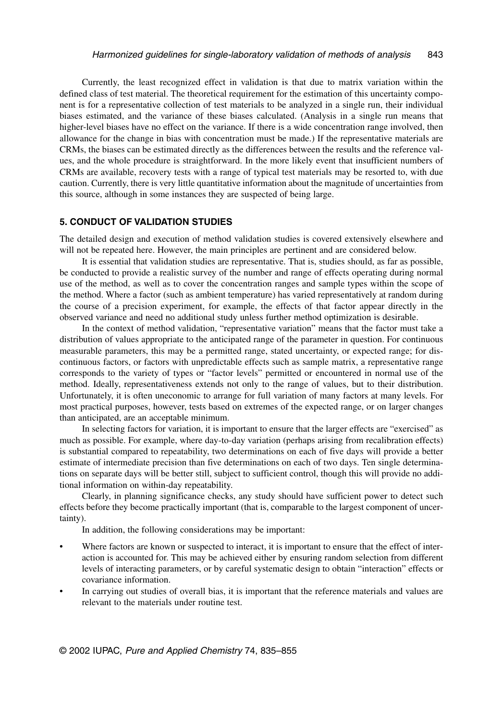Currently, the least recognized effect in validation is that due to matrix variation within the defined class of test material. The theoretical requirement for the estimation of this uncertainty component is for a representative collection of test materials to be analyzed in a single run, their individual biases estimated, and the variance of these biases calculated. (Analysis in a single run means that higher-level biases have no effect on the variance. If there is a wide concentration range involved, then allowance for the change in bias with concentration must be made.) If the representative materials are CRMs, the biases can be estimated directly as the differences between the results and the reference values, and the whole procedure is straightforward. In the more likely event that insufficient numbers of CRMs are available, recovery tests with a range of typical test materials may be resorted to, with due caution. Currently, there is very little quantitative information about the magnitude of uncertainties from this source, although in some instances they are suspected of being large.

## **5. CONDUCT OF VALIDATION STUDIES**

The detailed design and execution of method validation studies is covered extensively elsewhere and will not be repeated here. However, the main principles are pertinent and are considered below.

It is essential that validation studies are representative. That is, studies should, as far as possible, be conducted to provide a realistic survey of the number and range of effects operating during normal use of the method, as well as to cover the concentration ranges and sample types within the scope of the method. Where a factor (such as ambient temperature) has varied representatively at random during the course of a precision experiment, for example, the effects of that factor appear directly in the observed variance and need no additional study unless further method optimization is desirable.

In the context of method validation, "representative variation" means that the factor must take a distribution of values appropriate to the anticipated range of the parameter in question. For continuous measurable parameters, this may be a permitted range, stated uncertainty, or expected range; for discontinuous factors, or factors with unpredictable effects such as sample matrix, a representative range corresponds to the variety of types or "factor levels" permitted or encountered in normal use of the method. Ideally, representativeness extends not only to the range of values, but to their distribution. Unfortunately, it is often uneconomic to arrange for full variation of many factors at many levels. For most practical purposes, however, tests based on extremes of the expected range, or on larger changes than anticipated, are an acceptable minimum.

In selecting factors for variation, it is important to ensure that the larger effects are "exercised" as much as possible. For example, where day-to-day variation (perhaps arising from recalibration effects) is substantial compared to repeatability, two determinations on each of five days will provide a better estimate of intermediate precision than five determinations on each of two days. Ten single determinations on separate days will be better still, subject to sufficient control, though this will provide no additional information on within-day repeatability.

Clearly, in planning significance checks, any study should have sufficient power to detect such effects before they become practically important (that is, comparable to the largest component of uncertainty).

In addition, the following considerations may be important:

- Where factors are known or suspected to interact, it is important to ensure that the effect of interaction is accounted for. This may be achieved either by ensuring random selection from different levels of interacting parameters, or by careful systematic design to obtain "interaction" effects or covariance information.
- In carrying out studies of overall bias, it is important that the reference materials and values are relevant to the materials under routine test.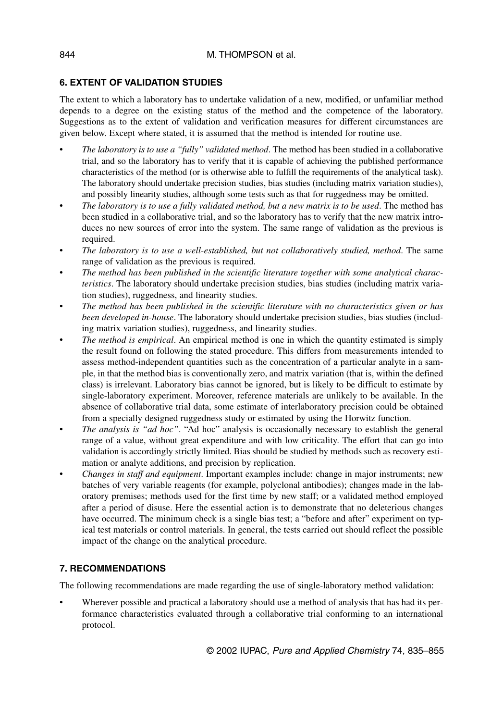# **6. EXTENT OF VALIDATION STUDIES**

The extent to which a laboratory has to undertake validation of a new, modified, or unfamiliar method depends to a degree on the existing status of the method and the competence of the laboratory. Suggestions as to the extent of validation and verification measures for different circumstances are given below. Except where stated, it is assumed that the method is intended for routine use.

- *The laboratory is to use a "fully" validated method*. The method has been studied in a collaborative trial, and so the laboratory has to verify that it is capable of achieving the published performance characteristics of the method (or is otherwise able to fulfill the requirements of the analytical task). The laboratory should undertake precision studies, bias studies (including matrix variation studies), and possibly linearity studies, although some tests such as that for ruggedness may be omitted.
- *The laboratory is to use a fully validated method, but a new matrix is to be used*. The method has been studied in a collaborative trial, and so the laboratory has to verify that the new matrix introduces no new sources of error into the system. The same range of validation as the previous is required.
- *The laboratory is to use a well-established, but not collaboratively studied, method*. The same range of validation as the previous is required.
- *The method has been published in the scientific literature together with some analytical characteristics*. The laboratory should undertake precision studies, bias studies (including matrix variation studies), ruggedness, and linearity studies.
- *The method has been published in the scientific literature with no characteristics given or has been developed in-house*. The laboratory should undertake precision studies, bias studies (including matrix variation studies), ruggedness, and linearity studies.
- *The method is empirical*. An empirical method is one in which the quantity estimated is simply the result found on following the stated procedure. This differs from measurements intended to assess method-independent quantities such as the concentration of a particular analyte in a sample, in that the method bias is conventionally zero, and matrix variation (that is, within the defined class) is irrelevant. Laboratory bias cannot be ignored, but is likely to be difficult to estimate by single-laboratory experiment. Moreover, reference materials are unlikely to be available. In the absence of collaborative trial data, some estimate of interlaboratory precision could be obtained from a specially designed ruggedness study or estimated by using the Horwitz function.
- *The analysis is "ad hoc"*. "Ad hoc" analysis is occasionally necessary to establish the general range of a value, without great expenditure and with low criticality. The effort that can go into validation is accordingly strictly limited. Bias should be studied by methods such as recovery estimation or analyte additions, and precision by replication.
- *Changes in staff and equipment*. Important examples include: change in major instruments; new batches of very variable reagents (for example, polyclonal antibodies); changes made in the laboratory premises; methods used for the first time by new staff; or a validated method employed after a period of disuse. Here the essential action is to demonstrate that no deleterious changes have occurred. The minimum check is a single bias test; a "before and after" experiment on typical test materials or control materials. In general, the tests carried out should reflect the possible impact of the change on the analytical procedure.

# **7. RECOMMENDATIONS**

The following recommendations are made regarding the use of single-laboratory method validation:

• Wherever possible and practical a laboratory should use a method of analysis that has had its performance characteristics evaluated through a collaborative trial conforming to an international protocol.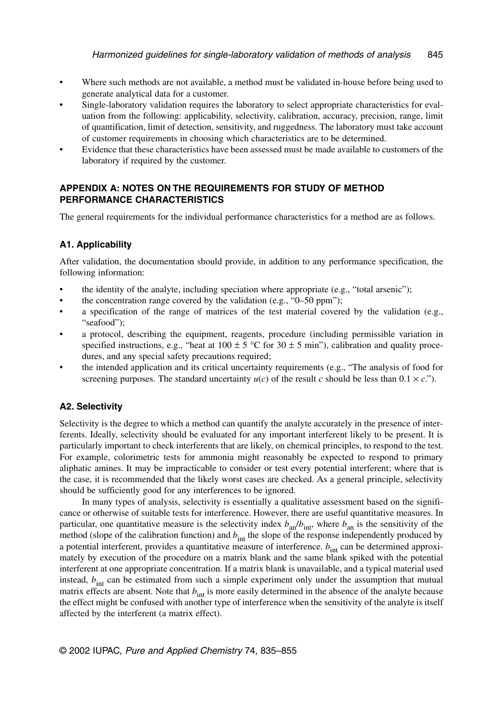- Where such methods are not available, a method must be validated in-house before being used to generate analytical data for a customer.
- Single-laboratory validation requires the laboratory to select appropriate characteristics for evaluation from the following: applicability, selectivity, calibration, accuracy, precision, range, limit of quantification, limit of detection, sensitivity, and ruggedness. The laboratory must take account of customer requirements in choosing which characteristics are to be determined.
- Evidence that these characteristics have been assessed must be made available to customers of the laboratory if required by the customer.

# **APPENDIX A: NOTES ON THE REQUIREMENTS FOR STUDY OF METHOD PERFORMANCE CHARACTERISTICS**

The general requirements for the individual performance characteristics for a method are as follows.

## **A1. Applicability**

After validation, the documentation should provide, in addition to any performance specification, the following information:

- the identity of the analyte, including speciation where appropriate (e.g., "total arsenic");
- the concentration range covered by the validation (e.g., "0–50 ppm");
- a specification of the range of matrices of the test material covered by the validation (e.g., "seafood"):
- a protocol, describing the equipment, reagents, procedure (including permissible variation in specified instructions, e.g., "heat at  $100 \pm 5$  °C for  $30 \pm 5$  min"), calibration and quality procedures, and any special safety precautions required;
- the intended application and its critical uncertainty requirements (e.g., "The analysis of food for screening purposes. The standard uncertainty  $u(c)$  of the result *c* should be less than  $0.1 \times c$ .").

#### **A2. Selectivity**

Selectivity is the degree to which a method can quantify the analyte accurately in the presence of interferents. Ideally, selectivity should be evaluated for any important interferent likely to be present. It is particularly important to check interferents that are likely, on chemical principles, to respond to the test. For example, colorimetric tests for ammonia might reasonably be expected to respond to primary aliphatic amines. It may be impracticable to consider or test every potential interferent; where that is the case, it is recommended that the likely worst cases are checked. As a general principle, selectivity should be sufficiently good for any interferences to be ignored.

In many types of analysis, selectivity is essentially a qualitative assessment based on the significance or otherwise of suitable tests for interference. However, there are useful quantitative measures. In particular, one quantitative measure is the selectivity index  $b<sub>an</sub>/b<sub>int</sub>$ , where  $b<sub>an</sub>$  is the sensitivity of the method (slope of the calibration function) and  $b<sub>int</sub>$  the slope of the response independently produced by a potential interferent, provides a quantitative measure of interference.  $b<sub>int</sub>$  can be determined approximately by execution of the procedure on a matrix blank and the same blank spiked with the potential interferent at one appropriate concentration. If a matrix blank is unavailable, and a typical material used instead,  $b<sub>int</sub>$  can be estimated from such a simple experiment only under the assumption that mutual matrix effects are absent. Note that  $b_{\text{int}}$  is more easily determined in the absence of the analyte because the effect might be confused with another type of interference when the sensitivity of the analyte is itself affected by the interferent (a matrix effect).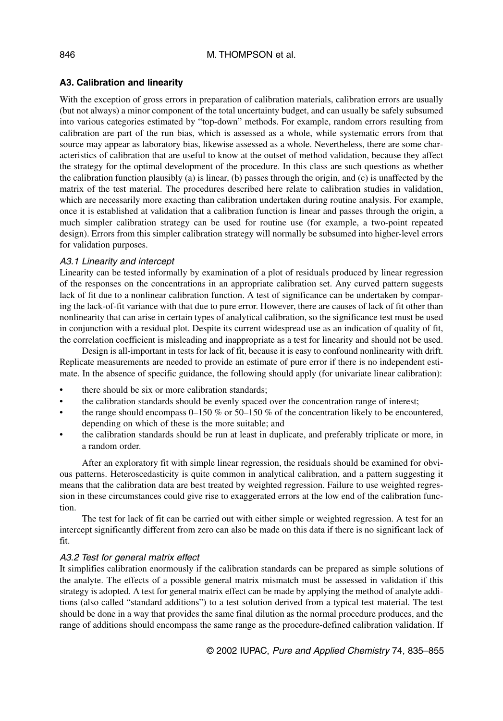# **A3. Calibration and linearity**

With the exception of gross errors in preparation of calibration materials, calibration errors are usually (but not always) a minor component of the total uncertainty budget, and can usually be safely subsumed into various categories estimated by "top-down" methods. For example, random errors resulting from calibration are part of the run bias, which is assessed as a whole, while systematic errors from that source may appear as laboratory bias, likewise assessed as a whole. Nevertheless, there are some characteristics of calibration that are useful to know at the outset of method validation, because they affect the strategy for the optimal development of the procedure. In this class are such questions as whether the calibration function plausibly (a) is linear, (b) passes through the origin, and (c) is unaffected by the matrix of the test material. The procedures described here relate to calibration studies in validation, which are necessarily more exacting than calibration undertaken during routine analysis. For example, once it is established at validation that a calibration function is linear and passes through the origin, a much simpler calibration strategy can be used for routine use (for example, a two-point repeated design). Errors from this simpler calibration strategy will normally be subsumed into higher-level errors for validation purposes.

# A3.1 Linearity and intercept

Linearity can be tested informally by examination of a plot of residuals produced by linear regression of the responses on the concentrations in an appropriate calibration set. Any curved pattern suggests lack of fit due to a nonlinear calibration function. A test of significance can be undertaken by comparing the lack-of-fit variance with that due to pure error. However, there are causes of lack of fit other than nonlinearity that can arise in certain types of analytical calibration, so the significance test must be used in conjunction with a residual plot. Despite its current widespread use as an indication of quality of fit, the correlation coefficient is misleading and inappropriate as a test for linearity and should not be used.

Design is all-important in tests for lack of fit, because it is easy to confound nonlinearity with drift. Replicate measurements are needed to provide an estimate of pure error if there is no independent estimate. In the absence of specific guidance, the following should apply (for univariate linear calibration):

- there should be six or more calibration standards;
- the calibration standards should be evenly spaced over the concentration range of interest;
- the range should encompass  $0-150\%$  or  $50-150\%$  of the concentration likely to be encountered, depending on which of these is the more suitable; and
- the calibration standards should be run at least in duplicate, and preferably triplicate or more, in a random order.

After an exploratory fit with simple linear regression, the residuals should be examined for obvious patterns. Heteroscedasticity is quite common in analytical calibration, and a pattern suggesting it means that the calibration data are best treated by weighted regression. Failure to use weighted regression in these circumstances could give rise to exaggerated errors at the low end of the calibration function.

The test for lack of fit can be carried out with either simple or weighted regression. A test for an intercept significantly different from zero can also be made on this data if there is no significant lack of fit.

# A3.2 Test for general matrix effect

It simplifies calibration enormously if the calibration standards can be prepared as simple solutions of the analyte. The effects of a possible general matrix mismatch must be assessed in validation if this strategy is adopted. A test for general matrix effect can be made by applying the method of analyte additions (also called "standard additions") to a test solution derived from a typical test material. The test should be done in a way that provides the same final dilution as the normal procedure produces, and the range of additions should encompass the same range as the procedure-defined calibration validation. If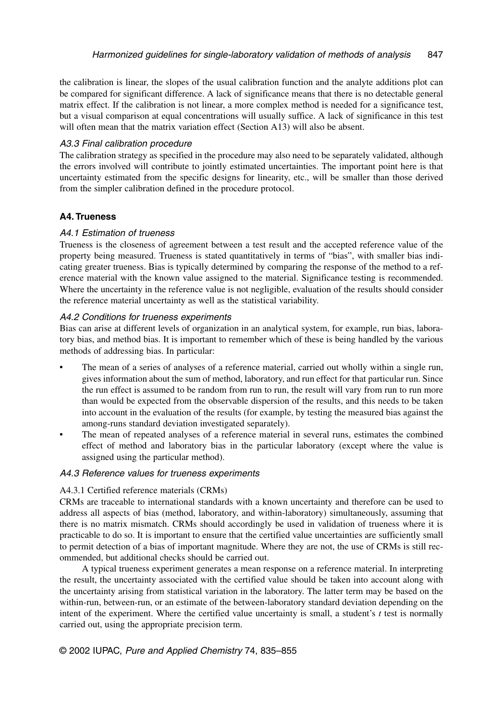the calibration is linear, the slopes of the usual calibration function and the analyte additions plot can be compared for significant difference. A lack of significance means that there is no detectable general matrix effect. If the calibration is not linear, a more complex method is needed for a significance test, but a visual comparison at equal concentrations will usually suffice. A lack of significance in this test will often mean that the matrix variation effect (Section A13) will also be absent.

# A3.3 Final calibration procedure

The calibration strategy as specified in the procedure may also need to be separately validated, although the errors involved will contribute to jointly estimated uncertainties. The important point here is that uncertainty estimated from the specific designs for linearity, etc., will be smaller than those derived from the simpler calibration defined in the procedure protocol.

# **A4. Trueness**

# A4.1 Estimation of trueness

Trueness is the closeness of agreement between a test result and the accepted reference value of the property being measured. Trueness is stated quantitatively in terms of "bias", with smaller bias indicating greater trueness. Bias is typically determined by comparing the response of the method to a reference material with the known value assigned to the material. Significance testing is recommended. Where the uncertainty in the reference value is not negligible, evaluation of the results should consider the reference material uncertainty as well as the statistical variability.

# A4.2 Conditions for trueness experiments

Bias can arise at different levels of organization in an analytical system, for example, run bias, laboratory bias, and method bias. It is important to remember which of these is being handled by the various methods of addressing bias. In particular:

- The mean of a series of analyses of a reference material, carried out wholly within a single run, gives information about the sum of method, laboratory, and run effect for that particular run. Since the run effect is assumed to be random from run to run, the result will vary from run to run more than would be expected from the observable dispersion of the results, and this needs to be taken into account in the evaluation of the results (for example, by testing the measured bias against the among-runs standard deviation investigated separately).
- The mean of repeated analyses of a reference material in several runs, estimates the combined effect of method and laboratory bias in the particular laboratory (except where the value is assigned using the particular method).

## A4.3 Reference values for trueness experiments

## A4.3.1 Certified reference materials (CRMs)

CRMs are traceable to international standards with a known uncertainty and therefore can be used to address all aspects of bias (method, laboratory, and within-laboratory) simultaneously, assuming that there is no matrix mismatch. CRMs should accordingly be used in validation of trueness where it is practicable to do so. It is important to ensure that the certified value uncertainties are sufficiently small to permit detection of a bias of important magnitude. Where they are not, the use of CRMs is still recommended, but additional checks should be carried out.

A typical trueness experiment generates a mean response on a reference material. In interpreting the result, the uncertainty associated with the certified value should be taken into account along with the uncertainty arising from statistical variation in the laboratory. The latter term may be based on the within-run, between-run, or an estimate of the between-laboratory standard deviation depending on the intent of the experiment. Where the certified value uncertainty is small, a student's  $t$  test is normally carried out, using the appropriate precision term.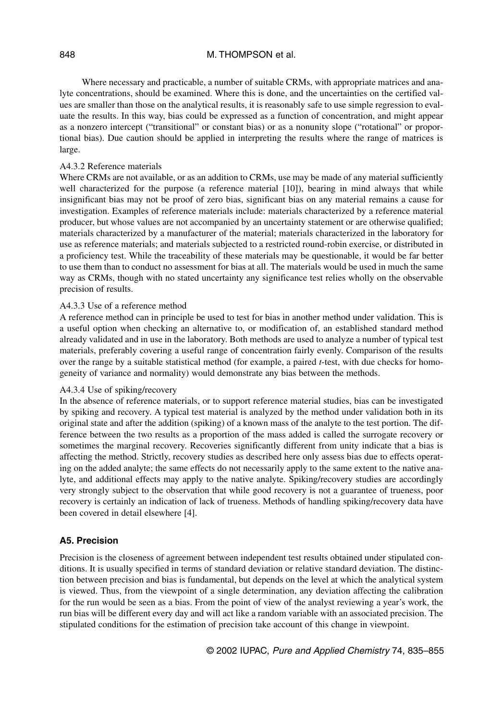### M. THOMPSON et al.

Where necessary and practicable, a number of suitable CRMs, with appropriate matrices and analyte concentrations, should be examined. Where this is done, and the uncertainties on the certified values are smaller than those on the analytical results, it is reasonably safe to use simple regression to evaluate the results. In this way, bias could be expressed as a function of concentration, and might appear as a nonzero intercept ("transitional" or constant bias) or as a nonunity slope ("rotational" or proportional bias). Due caution should be applied in interpreting the results where the range of matrices is large.

## A4.3.2 Reference materials

Where CRMs are not available, or as an addition to CRMs, use may be made of any material sufficiently well characterized for the purpose (a reference material [10]), bearing in mind always that while insignificant bias may not be proof of zero bias, significant bias on any material remains a cause for investigation. Examples of reference materials include: materials characterized by a reference material producer, but whose values are not accompanied by an uncertainty statement or are otherwise qualified; materials characterized by a manufacturer of the material; materials characterized in the laboratory for use as reference materials; and materials subjected to a restricted round-robin exercise, or distributed in a proficiency test. While the traceability of these materials may be questionable, it would be far better to use them than to conduct no assessment for bias at all. The materials would be used in much the same way as CRMs, though with no stated uncertainty any significance test relies wholly on the observable precision of results.

### A4.3.3 Use of a reference method

A reference method can in principle be used to test for bias in another method under validation. This is a useful option when checking an alternative to, or modification of, an established standard method already validated and in use in the laboratory. Both methods are used to analyze a number of typical test materials, preferably covering a useful range of concentration fairly evenly. Comparison of the results over the range by a suitable statistical method (for example, a paired *t*-test, with due checks for homogeneity of variance and normality) would demonstrate any bias between the methods.

#### A4.3.4 Use of spiking/recovery

In the absence of reference materials, or to support reference material studies, bias can be investigated by spiking and recovery. A typical test material is analyzed by the method under validation both in its original state and after the addition (spiking) of a known mass of the analyte to the test portion. The difference between the two results as a proportion of the mass added is called the surrogate recovery or sometimes the marginal recovery. Recoveries significantly different from unity indicate that a bias is affecting the method. Strictly, recovery studies as described here only assess bias due to effects operating on the added analyte; the same effects do not necessarily apply to the same extent to the native analyte, and additional effects may apply to the native analyte. Spiking/recovery studies are accordingly very strongly subject to the observation that while good recovery is not a guarantee of trueness, poor recovery is certainly an indication of lack of trueness. Methods of handling spiking/recovery data have been covered in detail elsewhere [4].

## **A5. Precision**

Precision is the closeness of agreement between independent test results obtained under stipulated conditions. It is usually specified in terms of standard deviation or relative standard deviation. The distinction between precision and bias is fundamental, but depends on the level at which the analytical system is viewed. Thus, from the viewpoint of a single determination, any deviation affecting the calibration for the run would be seen as a bias. From the point of view of the analyst reviewing a year's work, the run bias will be different every day and will act like a random variable with an associated precision. The stipulated conditions for the estimation of precision take account of this change in viewpoint.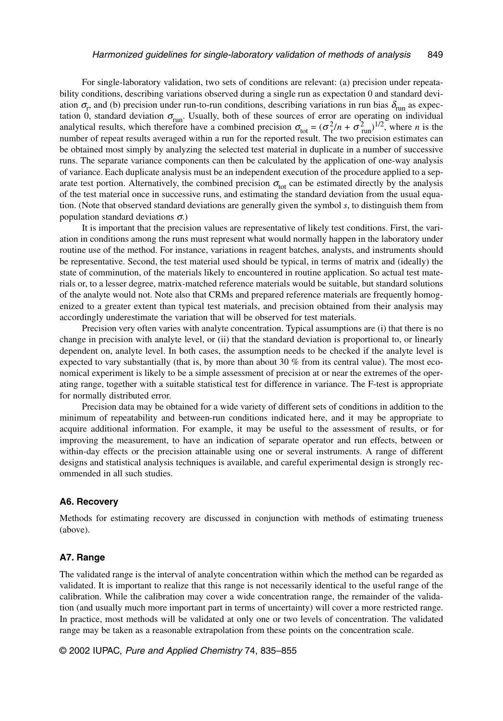For single-laboratory validation, two sets of conditions are relevant: (a) precision under repeatability conditions, describing variations observed during a single run as expectation 0 and standard deviation  $\sigma_r$ , and (b) precision under run-to-run conditions, describing variations in run bias  $\delta_{run}$  as expectation 0, standard deviation  $\sigma_{\text{run}}$ . Usually, both of these sources of error are operating on individual analytical results, which therefore have a combined precision  $\sigma_{\text{tot}} = (\sigma_{\text{r}}^2/n + \sigma_{\text{run}}^2)^{1/2}$ , where *n* is the number of repeat results averaged within a run for the reported result. The two precision estimates can be obtained most simply by analyzing the selected test material in duplicate in a number of successive runs. The separate variance components can then be calculated by the application of one-way analysis of variance. Each duplicate analysis must be an independent execution of the procedure applied to a separate test portion. Alternatively, the combined precision  $\sigma_{\text{tot}}$  can be estimated directly by the analysis of the test material once in successive runs, and estimating the standard deviation from the usual equation. (Note that observed standard deviations are generally given the symbol *s*, to distinguish them from population standard deviations  $σ$ .)

It is important that the precision values are representative of likely test conditions. First, the variation in conditions among the runs must represent what would normally happen in the laboratory under routine use of the method. For instance, variations in reagent batches, analysts, and instruments should be representative. Second, the test material used should be typical, in terms of matrix and (ideally) the state of comminution, of the materials likely to encountered in routine application. So actual test materials or, to a lesser degree, matrix-matched reference materials would be suitable, but standard solutions of the analyte would not. Note also that CRMs and prepared reference materials are frequently homogenized to a greater extent than typical test materials, and precision obtained from their analysis may accordingly underestimate the variation that will be observed for test materials.

Precision very often varies with analyte concentration. Typical assumptions are (i) that there is no change in precision with analyte level, or (ii) that the standard deviation is proportional to, or linearly dependent on, analyte level. In both cases, the assumption needs to be checked if the analyte level is expected to vary substantially (that is, by more than about 30 % from its central value). The most economical experiment is likely to be a simple assessment of precision at or near the extremes of the operating range, together with a suitable statistical test for difference in variance. The F-test is appropriate for normally distributed error.

Precision data may be obtained for a wide variety of different sets of conditions in addition to the minimum of repeatability and between-run conditions indicated here, and it may be appropriate to acquire additional information. For example, it may be useful to the assessment of results, or for improving the measurement, to have an indication of separate operator and run effects, between or within-day effects or the precision attainable using one or several instruments. A range of different designs and statistical analysis techniques is available, and careful experimental design is strongly recommended in all such studies.

#### **A6. Recovery**

Methods for estimating recovery are discussed in conjunction with methods of estimating trueness (above).

#### **A7. Range**

The validated range is the interval of analyte concentration within which the method can be regarded as validated. It is important to realize that this range is not necessarily identical to the useful range of the calibration. While the calibration may cover a wide concentration range, the remainder of the validation (and usually much more important part in terms of uncertainty) will cover a more restricted range. In practice, most methods will be validated at only one or two levels of concentration. The validated range may be taken as a reasonable extrapolation from these points on the concentration scale.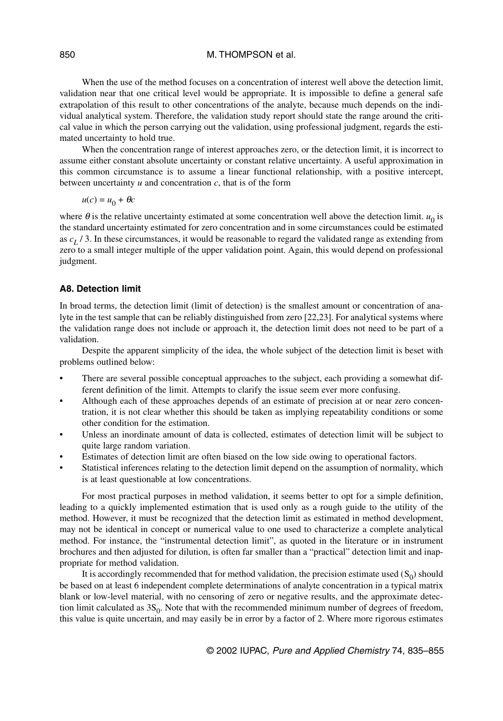When the use of the method focuses on a concentration of interest well above the detection limit, validation near that one critical level would be appropriate. It is impossible to define a general safe extrapolation of this result to other concentrations of the analyte, because much depends on the individual analytical system. Therefore, the validation study report should state the range around the critical value in which the person carrying out the validation, using professional judgment, regards the estimated uncertainty to hold true.

When the concentration range of interest approaches zero, or the detection limit, it is incorrect to assume either constant absolute uncertainty or constant relative uncertainty. A useful approximation in this common circumstance is to assume a linear functional relationship, with a positive intercept, between uncertainty *u* and concentration *c*, that is of the form

$$
u(c) = u_0 + \theta c
$$

where  $\theta$  is the relative uncertainty estimated at some concentration well above the detection limit.  $u_0$  is the standard uncertainty estimated for zero concentration and in some circumstances could be estimated as  $c_l$  / 3. In these circumstances, it would be reasonable to regard the validated range as extending from zero to a small integer multiple of the upper validation point. Again, this would depend on professional judgment.

## **A8. Detection limit**

In broad terms, the detection limit (limit of detection) is the smallest amount or concentration of analyte in the test sample that can be reliably distinguished from zero [22,23]. For analytical systems where the validation range does not include or approach it, the detection limit does not need to be part of a validation.

Despite the apparent simplicity of the idea, the whole subject of the detection limit is beset with problems outlined below:

- There are several possible conceptual approaches to the subject, each providing a somewhat different definition of the limit. Attempts to clarify the issue seem ever more confusing.
- Although each of these approaches depends of an estimate of precision at or near zero concentration, it is not clear whether this should be taken as implying repeatability conditions or some other condition for the estimation.
- Unless an inordinate amount of data is collected, estimates of detection limit will be subject to quite large random variation.
- Estimates of detection limit are often biased on the low side owing to operational factors.
- Statistical inferences relating to the detection limit depend on the assumption of normality, which is at least questionable at low concentrations.

For most practical purposes in method validation, it seems better to opt for a simple definition, leading to a quickly implemented estimation that is used only as a rough guide to the utility of the method. However, it must be recognized that the detection limit as estimated in method development, may not be identical in concept or numerical value to one used to characterize a complete analytical method. For instance, the "instrumental detection limit", as quoted in the literature or in instrument brochures and then adjusted for dilution, is often far smaller than a "practical" detection limit and inappropriate for method validation.

It is accordingly recommended that for method validation, the precision estimate used  $(S_0)$  should be based on at least 6 independent complete determinations of analyte concentration in a typical matrix blank or low-level material, with no censoring of zero or negative results, and the approximate detection limit calculated as  $3S_0$ . Note that with the recommended minimum number of degrees of freedom, this value is quite uncertain, and may easily be in error by a factor of 2. Where more rigorous estimates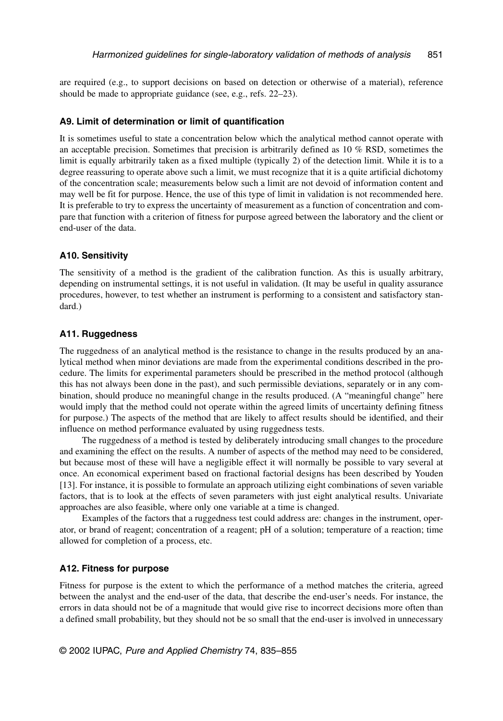are required (e.g., to support decisions on based on detection or otherwise of a material), reference should be made to appropriate guidance (see, e.g., refs. 22–23).

### **A9. Limit of determination or limit of quantification**

It is sometimes useful to state a concentration below which the analytical method cannot operate with an acceptable precision. Sometimes that precision is arbitrarily defined as 10 % RSD, sometimes the limit is equally arbitrarily taken as a fixed multiple (typically 2) of the detection limit. While it is to a degree reassuring to operate above such a limit, we must recognize that it is a quite artificial dichotomy of the concentration scale; measurements below such a limit are not devoid of information content and may well be fit for purpose. Hence, the use of this type of limit in validation is not recommended here. It is preferable to try to express the uncertainty of measurement as a function of concentration and compare that function with a criterion of fitness for purpose agreed between the laboratory and the client or end-user of the data.

#### **A10. Sensitivity**

The sensitivity of a method is the gradient of the calibration function. As this is usually arbitrary, depending on instrumental settings, it is not useful in validation. (It may be useful in quality assurance procedures, however, to test whether an instrument is performing to a consistent and satisfactory standard.)

#### **A11. Ruggedness**

The ruggedness of an analytical method is the resistance to change in the results produced by an analytical method when minor deviations are made from the experimental conditions described in the procedure. The limits for experimental parameters should be prescribed in the method protocol (although this has not always been done in the past), and such permissible deviations, separately or in any combination, should produce no meaningful change in the results produced. (A "meaningful change" here would imply that the method could not operate within the agreed limits of uncertainty defining fitness for purpose.) The aspects of the method that are likely to affect results should be identified, and their influence on method performance evaluated by using ruggedness tests.

The ruggedness of a method is tested by deliberately introducing small changes to the procedure and examining the effect on the results. A number of aspects of the method may need to be considered, but because most of these will have a negligible effect it will normally be possible to vary several at once. An economical experiment based on fractional factorial designs has been described by Youden [13]. For instance, it is possible to formulate an approach utilizing eight combinations of seven variable factors, that is to look at the effects of seven parameters with just eight analytical results. Univariate approaches are also feasible, where only one variable at a time is changed.

Examples of the factors that a ruggedness test could address are: changes in the instrument, operator, or brand of reagent; concentration of a reagent; pH of a solution; temperature of a reaction; time allowed for completion of a process, etc.

#### **A12. Fitness for purpose**

Fitness for purpose is the extent to which the performance of a method matches the criteria, agreed between the analyst and the end-user of the data, that describe the end-user's needs. For instance, the errors in data should not be of a magnitude that would give rise to incorrect decisions more often than a defined small probability, but they should not be so small that the end-user is involved in unnecessary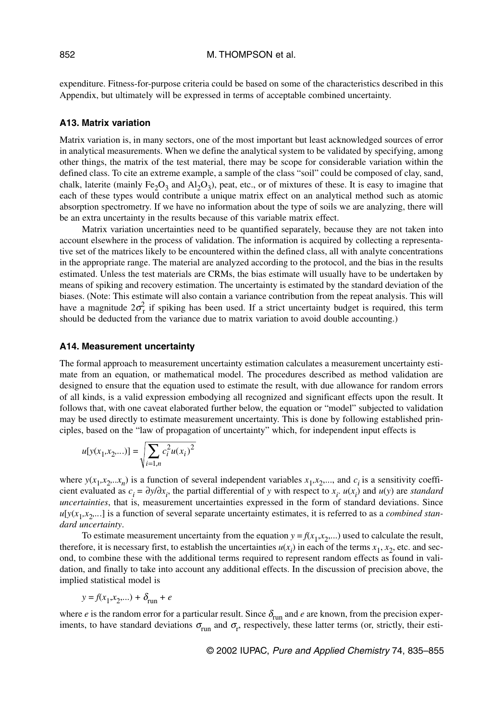expenditure. Fitness-for-purpose criteria could be based on some of the characteristics described in this Appendix, but ultimately will be expressed in terms of acceptable combined uncertainty.

#### **A13. Matrix variation**

Matrix variation is, in many sectors, one of the most important but least acknowledged sources of error in analytical measurements. When we define the analytical system to be validated by specifying, among other things, the matrix of the test material, there may be scope for considerable variation within the defined class. To cite an extreme example, a sample of the class "soil" could be composed of clay, sand, chalk, laterite (mainly Fe<sub>2</sub>O<sub>3</sub> and Al<sub>2</sub>O<sub>3</sub>), peat, etc., or of mixtures of these. It is easy to imagine that each of these types would contribute a unique matrix effect on an analytical method such as atomic absorption spectrometry. If we have no information about the type of soils we are analyzing, there will be an extra uncertainty in the results because of this variable matrix effect.

Matrix variation uncertainties need to be quantified separately, because they are not taken into account elsewhere in the process of validation. The information is acquired by collecting a representative set of the matrices likely to be encountered within the defined class, all with analyte concentrations in the appropriate range. The material are analyzed according to the protocol, and the bias in the results estimated. Unless the test materials are CRMs, the bias estimate will usually have to be undertaken by means of spiking and recovery estimation. The uncertainty is estimated by the standard deviation of the biases. (Note: This estimate will also contain a variance contribution from the repeat analysis. This will have a magnitude  $2\sigma_r^2$  if spiking has been used. If a strict uncertainty budget is required, this term should be deducted from the variance due to matrix variation to avoid double accounting.)

#### **A14. Measurement uncertainty**

The formal approach to measurement uncertainty estimation calculates a measurement uncertainty estimate from an equation, or mathematical model. The procedures described as method validation are designed to ensure that the equation used to estimate the result, with due allowance for random errors of all kinds, is a valid expression embodying all recognized and significant effects upon the result. It follows that, with one caveat elaborated further below, the equation or "model" subjected to validation may be used directly to estimate measurement uncertainty. This is done by following established principles, based on the "law of propagation of uncertainty" which, for independent input effects is

$$
u[y(x_1, x_2, \dots)] = \sqrt{\sum_{i=1, n} c_i^2 u(x_i)^2}
$$

where  $y(x_1, x_2, \ldots, x_n)$  is a function of several independent variables  $x_1, x_2, \ldots$ , and  $c_i$  is a sensitivity coefficient evaluated as  $c_i = \partial y/\partial x_i$ , the partial differential of *y* with respect to  $x_i$ .  $u(x_i)$  and  $u(y)$  are *standard uncertainties*, that is, measurement uncertainties expressed in the form of standard deviations. Since  $u[y(x_1, x_2, \ldots)]$  is a function of several separate uncertainty estimates, it is referred to as a *combined standard uncertainty*.

To estimate measurement uncertainty from the equation  $y = f(x_1, x_2,...)$  used to calculate the result, therefore, it is necessary first, to establish the uncertainties  $u(x_i)$  in each of the terms  $x_1, x_2$ , etc. and second, to combine these with the additional terms required to represent random effects as found in validation, and finally to take into account any additional effects. In the discussion of precision above, the implied statistical model is

$$
y = f(x_1, x_2,...) + \delta_{\text{run}} + e
$$

where *e* is the random error for a particular result. Since  $\delta_{\rm run}$  and *e* are known, from the precision experiments, to have standard deviations  $\sigma_{run}$  and  $\sigma_{r}$ , respectively, these latter terms (or, strictly, their esti-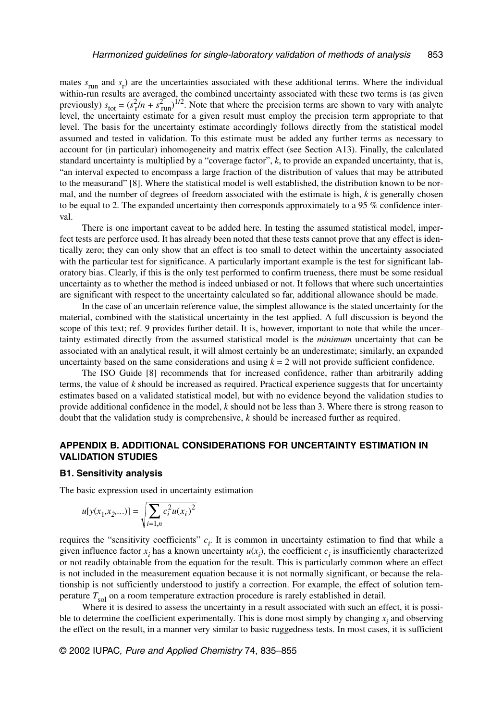mates  $s_{\text{run}}$  and  $s_{\text{r}}$ ) are the uncertainties associated with these additional terms. Where the individual within-run results are averaged, the combined uncertainty associated with these two terms is (as given previously)  $s_{\text{tot}} = (s_{\text{r}}^2/n + s_{\text{run}}^2)^{1/2}$ . Note that where the precision terms are shown to vary with analyte level, the uncertainty estimate for a given result must employ the precision term appropriate to that level. The basis for the uncertainty estimate accordingly follows directly from the statistical model assumed and tested in validation. To this estimate must be added any further terms as necessary to account for (in particular) inhomogeneity and matrix effect (see Section A13). Finally, the calculated standard uncertainty is multiplied by a "coverage factor", *k*, to provide an expanded uncertainty, that is, "an interval expected to encompass a large fraction of the distribution of values that may be attributed to the measurand" [8]. Where the statistical model is well established, the distribution known to be normal, and the number of degrees of freedom associated with the estimate is high, *k* is generally chosen to be equal to 2. The expanded uncertainty then corresponds approximately to a 95 % confidence interval.

There is one important caveat to be added here. In testing the assumed statistical model, imperfect tests are perforce used. It has already been noted that these tests cannot prove that any effect is identically zero; they can only show that an effect is too small to detect within the uncertainty associated with the particular test for significance. A particularly important example is the test for significant laboratory bias. Clearly, if this is the only test performed to confirm trueness, there must be some residual uncertainty as to whether the method is indeed unbiased or not. It follows that where such uncertainties are significant with respect to the uncertainty calculated so far, additional allowance should be made.

In the case of an uncertain reference value, the simplest allowance is the stated uncertainty for the material, combined with the statistical uncertainty in the test applied. A full discussion is beyond the scope of this text; ref. 9 provides further detail. It is, however, important to note that while the uncertainty estimated directly from the assumed statistical model is the *minimum* uncertainty that can be associated with an analytical result, it will almost certainly be an underestimate; similarly, an expanded uncertainty based on the same considerations and using  $k = 2$  will not provide sufficient confidence.

The ISO Guide [8] recommends that for increased confidence, rather than arbitrarily adding terms, the value of *k* should be increased as required. Practical experience suggests that for uncertainty estimates based on a validated statistical model, but with no evidence beyond the validation studies to provide additional confidence in the model, *k* should not be less than 3. Where there is strong reason to doubt that the validation study is comprehensive, *k* should be increased further as required.

# **APPENDIX B. ADDITIONAL CONSIDERATIONS FOR UNCERTAINTY ESTIMATION IN VALIDATION STUDIES**

#### **B1. Sensitivity analysis**

The basic expression used in uncertainty estimation

$$
u[y(x_1, x_2, \dots)] = \sqrt{\sum_{i=1, n} c_i^2 u(x_i)^2}
$$

requires the "sensitivity coefficients"  $c_i$ . It is common in uncertainty estimation to find that while a given influence factor  $x_i$  has a known uncertainty  $u(x_i)$ , the coefficient  $c_i$  is insufficiently characterized or not readily obtainable from the equation for the result. This is particularly common where an effect is not included in the measurement equation because it is not normally significant, or because the relationship is not sufficiently understood to justify a correction. For example, the effect of solution temperature  $T_{\text{sol}}$  on a room temperature extraction procedure is rarely established in detail.

Where it is desired to assess the uncertainty in a result associated with such an effect, it is possible to determine the coefficient experimentally. This is done most simply by changing *xi* and observing the effect on the result, in a manner very similar to basic ruggedness tests. In most cases, it is sufficient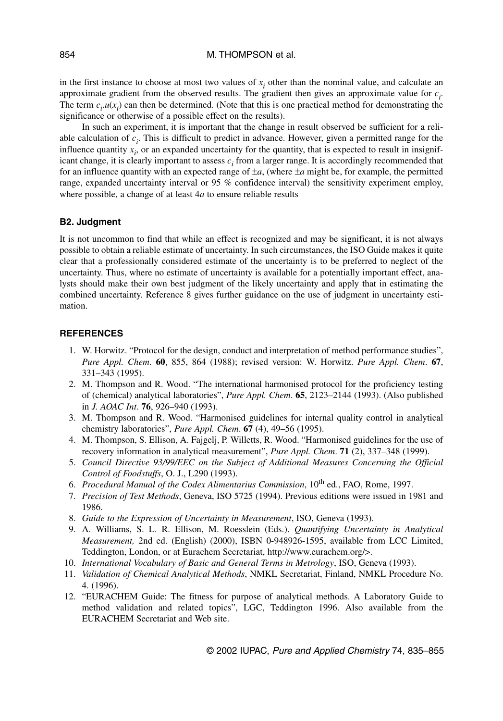in the first instance to choose at most two values of  $x_i$  other than the nominal value, and calculate an approximate gradient from the observed results. The gradient then gives an approximate value for  $c_i$ . The term  $c_i u(x_i)$  can then be determined. (Note that this is one practical method for demonstrating the significance or otherwise of a possible effect on the results).

In such an experiment, it is important that the change in result observed be sufficient for a reliable calculation of  $c_i$ . This is difficult to predict in advance. However, given a permitted range for the influence quantity  $x_i$ , or an expanded uncertainty for the quantity, that is expected to result in insignificant change, it is clearly important to assess *ci* from a larger range. It is accordingly recommended that for an influence quantity with an expected range of  $\pm a$ , (where  $\pm a$  might be, for example, the permitted range, expanded uncertainty interval or 95 % confidence interval) the sensitivity experiment employ, where possible, a change of at least 4*a* to ensure reliable results

#### **B2. Judgment**

It is not uncommon to find that while an effect is recognized and may be significant, it is not always possible to obtain a reliable estimate of uncertainty. In such circumstances, the ISO Guide makes it quite clear that a professionally considered estimate of the uncertainty is to be preferred to neglect of the uncertainty. Thus, where no estimate of uncertainty is available for a potentially important effect, analysts should make their own best judgment of the likely uncertainty and apply that in estimating the combined uncertainty. Reference 8 gives further guidance on the use of judgment in uncertainty estimation.

### **REFERENCES**

- 1. W. Horwitz. "Protocol for the design, conduct and interpretation of method performance studies", *Pure Appl. Chem*. **60**, 855, 864 (1988); revised version: W. Horwitz. *Pure Appl. Chem*. **67**, 331–343 (1995).
- 2. M. Thompson and R. Wood. "The international harmonised protocol for the proficiency testing of (chemical) analytical laboratories", *Pure Appl. Chem*. **65**, 2123–2144 (1993). (Also published in *J. AOAC Int*. **76**, 926–940 (1993).
- 3. M. Thompson and R. Wood. "Harmonised guidelines for internal quality control in analytical chemistry laboratories", *Pure Appl. Chem*. **67** (4), 49–56 (1995).
- 4. M. Thompson, S. Ellison, A. Fajgelj, P. Willetts, R. Wood. "Harmonised guidelines for the use of recovery information in analytical measurement", *Pure Appl. Chem*. **71** (2), 337–348 (1999).
- 5. *Council Directive 93/99/EEC on the Subject of Additional Measures Concerning the Official Control of Foodstuffs*, O. J., L290 (1993).
- 6. *Procedural Manual of the Codex Alimentarius Commission*, 10<sup>th</sup> ed., FAO, Rome, 1997.
- 7. *Precision of Test Methods*, Geneva, ISO 5725 (1994). Previous editions were issued in 1981 and 1986.
- 8. *Guide to the Expression of Uncertainty in Measurement*, ISO, Geneva (1993).
- 9. A. Williams, S. L. R. Ellison, M. Roesslein (Eds.). *Quantifying Uncertainty in Analytical Measurement,* 2nd ed. (English) (2000), ISBN 0-948926-1595, available from LCC Limited, Teddington, London, or at Eurachem Secretariat, http://www.eurachem.org/>.
- 10. *International Vocabulary of Basic and General Terms in Metrology*, ISO, Geneva (1993).
- 11. *Validation of Chemical Analytical Methods*, NMKL Secretariat, Finland, NMKL Procedure No. 4. (1996).
- 12. "EURACHEM Guide: The fitness for purpose of analytical methods. A Laboratory Guide to method validation and related topics", LGC, Teddington 1996. Also available from the EURACHEM Secretariat and Web site.